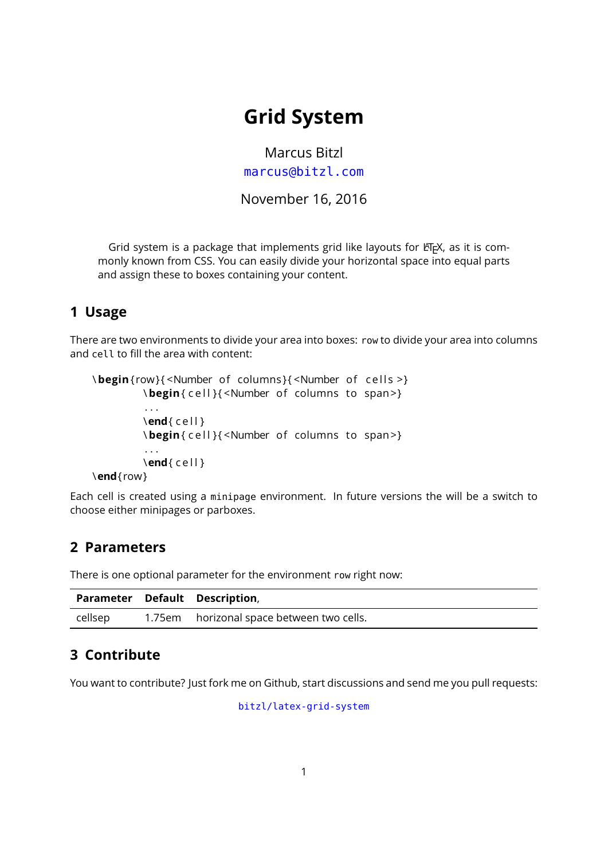# **Grid System**

Marcus Bitzl <marcus@bitzl.com>

November 16, 2016

Grid system is a package that implements grid like layouts for LATEX, as it is commonly known from CSS. You can easily divide your horizontal space into equal parts and assign these to boxes containing your content.

### **1 Usage**

There are two environments to divide your area into boxes: row to divide your area into columns and cell to fill the area with content:

```
\begin{row}{<Number of columns}{<Number of cells >}
         \begin{ cell }{ <Number of columns to span >}
          . . .
         \text{end}{ cell }
         \begin{ cell }{ <Number of columns to span >}
         . . .
         \end{ c e l l }
\end{ row }
```
Each cell is created using a minipage environment. In future versions the will be a switch to choose either minipages or parboxes.

### **2 Parameters**

There is one optional parameter for the environment row right now:

|         | <b>Parameter Default Description,</b>     |
|---------|-------------------------------------------|
| cellsep | 1.75em horizonal space between two cells. |

# **3 Contribute**

You want to contribute? Just fork me on Github, start discussions and send me you pull requests:

[bitzl/latex-grid-system](https://github.com/bitzl/latex-grid-system)